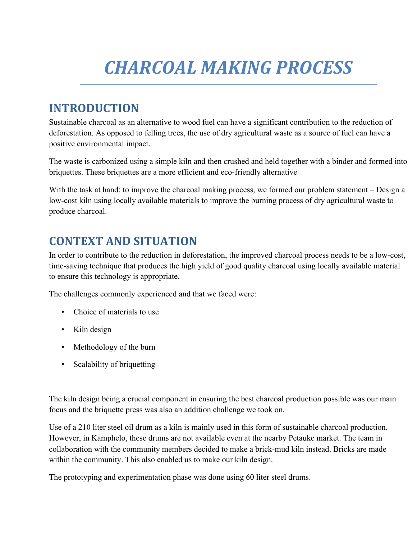# *CHARCOAL MAKING PROCESS*

# **INTRODUCTION**

Sustainable charcoal as an alternative to wood fuel can have a significant contribution to the reduction of deforestation. As opposed to felling trees, the use of dry agricultural waste as a source of fuel can have a positive environmental impact.

The waste is carbonized using a simple kiln and then crushed and held together with a binder and formed into briquettes. These briquettes are a more efficient and eco-friendly alternative

With the task at hand; to improve the charcoal making process, we formed our problem statement – Design a low-cost kiln using locally available materials to improve the burning process of dry agricultural waste to produce charcoal.

## **CONTEXT AND SITUATION**

In order to contribute to the reduction in deforestation, the improved charcoal process needs to be a low-cost, time-saving technique that produces the high yield of good quality charcoal using locally available material to ensure this technology is appropriate.

The challenges commonly experienced and that we faced were:

- Choice of materials to use
- Kiln design
- Methodology of the burn
- Scalability of briquetting

The kiln design being a crucial component in ensuring the best charcoal production possible was our main focus and the briquette press was also an addition challenge we took on.

Use of a 210 liter steel oil drum as a kiln is mainly used in this form of sustainable charcoal production. However, in Kamphelo, these drums are not available even at the nearby Petauke market. The team in collaboration with the community members decided to make a brick-mud kiln instead. Bricks are made within the community. This also enabled us to make our kiln design.

The prototyping and experimentation phase was done using 60 liter steel drums.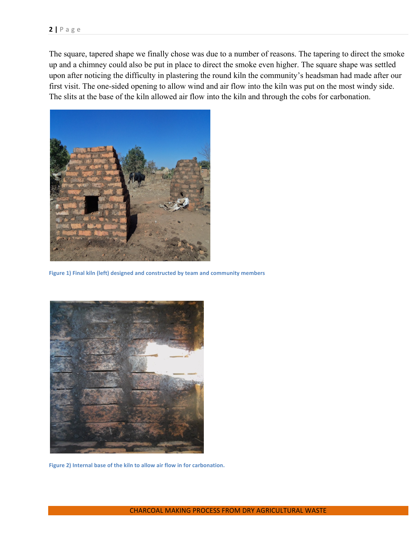The square, tapered shape we finally chose was due to a number of reasons. The tapering to direct the smoke up and a chimney could also be put in place to direct the smoke even higher. The square shape was settled upon after noticing the difficulty in plastering the round kiln the community's headsman had made after our first visit. The one-sided opening to allow wind and air flow into the kiln was put on the most windy side. The slits at the base of the kiln allowed air flow into the kiln and through the cobs for carbonation.



Figure 1) Final kiln (left) designed and constructed by team and community members



Figure 2) Internal base of the kiln to allow air flow in for carbonation.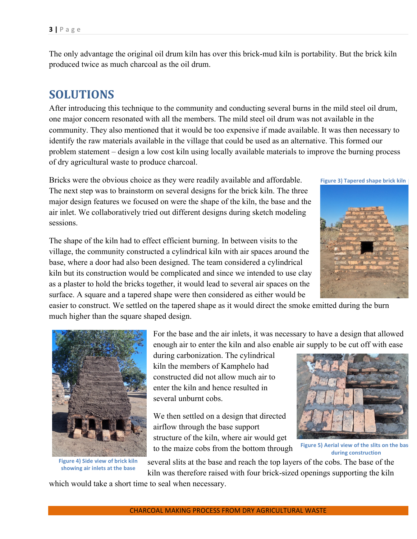The only advantage the original oil drum kiln has over this brick-mud kiln is portability. But the brick kiln produced twice as much charcoal as the oil drum.

## **SOLUTIONS**

After introducing this technique to the community and conducting several burns in the mild steel oil drum, one major concern resonated with all the members. The mild steel oil drum was not available in the community. They also mentioned that it would be too expensive if made available. It was then necessary to identify the raw materials available in the village that could be used as an alternative. This formed our problem statement – design a low cost kiln using locally available materials to improve the burning process of dry agricultural waste to produce charcoal.

Bricks were the obvious choice as they were readily available and affordable. The next step was to brainstorm on several designs for the brick kiln. The three major design features we focused on were the shape of the kiln, the base and the air inlet. We collaboratively tried out different designs during sketch modeling sessions.

The shape of the kiln had to effect efficient burning. In between visits to the village, the community constructed a cylindrical kiln with air spaces around the base, where a door had also been designed. The team considered a cylindrical kiln but its construction would be complicated and since we intended to use clay as a plaster to hold the bricks together, it would lead to several air spaces on the surface. A square and a tapered shape were then considered as either would be

easier to construct. We settled on the tapered shape as it would direct the smoke emitted during the burn much higher than the square shaped design.



**Figure 4) Side view of brick kiln** showing air inlets at the base

For the base and the air inlets, it was necessary to have a design that allowed enough air to enter the kiln and also enable air supply to be cut off with ease

during carbonization. The cylindrical kiln the members of Kamphelo had constructed did not allow much air to enter the kiln and hence resulted in several unburnt cobs.

We then settled on a design that directed airflow through the base support structure of the kiln, where air would get to the maize cobs from the bottom through

several slits at the base and reach the top layers of the cobs. The base of the

kiln was therefore raised with four brick-sized openings supporting the kiln

which would take a short time to seal when necessary.

**Figure 3) Tapered shape brick kiln** 

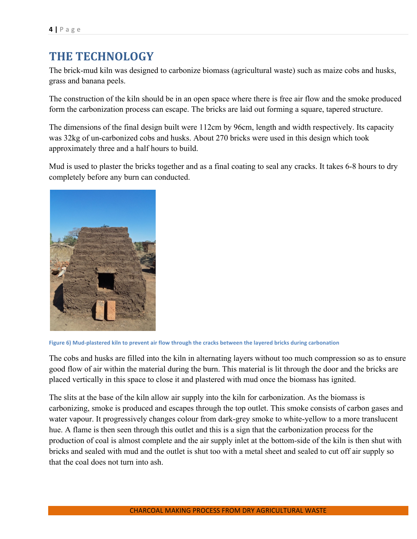## **THE TECHNOLOGY**

The brick-mud kiln was designed to carbonize biomass (agricultural waste) such as maize cobs and husks, grass and banana peels.

The construction of the kiln should be in an open space where there is free air flow and the smoke produced form the carbonization process can escape. The bricks are laid out forming a square, tapered structure.

The dimensions of the final design built were 112cm by 96cm, length and width respectively. Its capacity was 32kg of un-carbonized cobs and husks. About 270 bricks were used in this design which took approximately three and a half hours to build.

Mud is used to plaster the bricks together and as a final coating to seal any cracks. It takes 6-8 hours to dry completely before any burn can conducted.



Figure 6) Mud-plastered kiln to prevent air flow through the cracks between the layered bricks during carbonation

The cobs and husks are filled into the kiln in alternating layers without too much compression so as to ensure good flow of air within the material during the burn. This material is lit through the door and the bricks are placed vertically in this space to close it and plastered with mud once the biomass has ignited.

The slits at the base of the kiln allow air supply into the kiln for carbonization. As the biomass is carbonizing, smoke is produced and escapes through the top outlet. This smoke consists of carbon gases and water vapour. It progressively changes colour from dark-grey smoke to white-yellow to a more translucent hue. A flame is then seen through this outlet and this is a sign that the carbonization process for the production of coal is almost complete and the air supply inlet at the bottom-side of the kiln is then shut with bricks and sealed with mud and the outlet is shut too with a metal sheet and sealed to cut off air supply so that the coal does not turn into ash.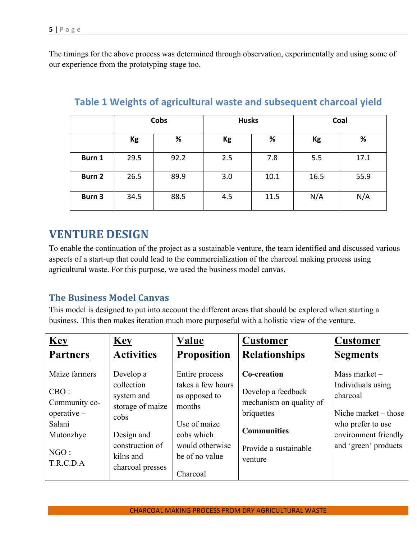The timings for the above process was determined through observation, experimentally and using some of our experience from the prototyping stage too.

|        | Cobs |      | <b>Husks</b> |      | Coal |      |
|--------|------|------|--------------|------|------|------|
|        | Kg   | %    | Kg           | %    | Kg   | %    |
| Burn 1 | 29.5 | 92.2 | 2.5          | 7.8  | 5.5  | 17.1 |
| Burn 2 | 26.5 | 89.9 | 3.0          | 10.1 | 16.5 | 55.9 |
| Burn 3 | 34.5 | 88.5 | 4.5          | 11.5 | N/A  | N/A  |

### **Table 1 Weights of agricultural waste and subsequent charcoal yield**

## **VENTURE DESIGN**

To enable the continuation of the project as a sustainable venture, the team identified and discussed various aspects of a start-up that could lead to the commercialization of the charcoal making process using agricultural waste. For this purpose, we used the business model canvas.

## **The Business Model Canvas**

This model is designed to put into account the different areas that should be explored when starting a business. This then makes iteration much more purposeful with a holistic view of the venture.

| <b>Key</b>                                                                                                | <b>Key</b>                                                                                                                          | Value                                                                                                                             | <b>Customer</b>                                                                                                                      | <b>Customer</b>                                                                                                                               |
|-----------------------------------------------------------------------------------------------------------|-------------------------------------------------------------------------------------------------------------------------------------|-----------------------------------------------------------------------------------------------------------------------------------|--------------------------------------------------------------------------------------------------------------------------------------|-----------------------------------------------------------------------------------------------------------------------------------------------|
| <b>Partners</b>                                                                                           | <b>Activities</b>                                                                                                                   | <b>Proposition</b>                                                                                                                | <b>Relationships</b>                                                                                                                 | <b>Segments</b>                                                                                                                               |
| Maize farmers<br>CBO:<br>Community co-<br>$operatorerative -$<br>Salani<br>Mutonzhye<br>NGO:<br>T.R.C.D.A | Develop a<br>collection<br>system and<br>storage of maize<br>cobs<br>Design and<br>construction of<br>kilns and<br>charcoal presses | Entire process<br>takes a few hours<br>as opposed to<br>months<br>Use of maize<br>cobs which<br>would otherwise<br>be of no value | Co-creation<br>Develop a feedback<br>mechanism on quality of<br>briquettes<br><b>Communities</b><br>Provide a sustainable<br>venture | Mass market -<br>Individuals using<br>charcoal<br>Niche market $-$ those<br>who prefer to use<br>environment friendly<br>and 'green' products |
|                                                                                                           |                                                                                                                                     | Charcoal                                                                                                                          |                                                                                                                                      |                                                                                                                                               |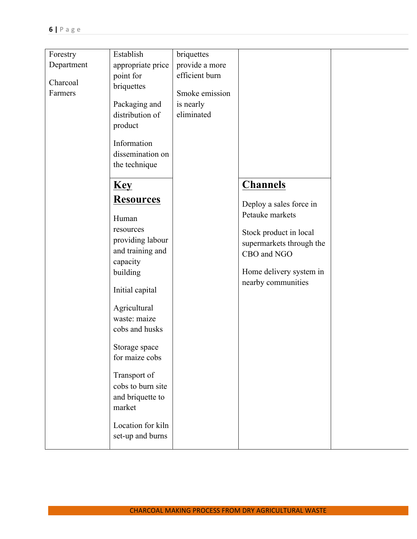| Forestry   | Establish         | briquettes     |                          |  |
|------------|-------------------|----------------|--------------------------|--|
| Department | appropriate price | provide a more |                          |  |
|            | point for         | efficient burn |                          |  |
| Charcoal   | briquettes        |                |                          |  |
| Farmers    |                   | Smoke emission |                          |  |
|            | Packaging and     | is nearly      |                          |  |
|            | distribution of   | eliminated     |                          |  |
|            | product           |                |                          |  |
|            |                   |                |                          |  |
|            | Information       |                |                          |  |
|            | dissemination on  |                |                          |  |
|            | the technique     |                |                          |  |
|            |                   |                |                          |  |
|            | <b>Key</b>        |                | <b>Channels</b>          |  |
|            | <b>Resources</b>  |                |                          |  |
|            |                   |                | Deploy a sales force in  |  |
|            | Human             |                | Petauke markets          |  |
|            | resources         |                |                          |  |
|            | providing labour  |                | Stock product in local   |  |
|            | and training and  |                | supermarkets through the |  |
|            | capacity          |                | CBO and NGO              |  |
|            | building          |                | Home delivery system in  |  |
|            |                   |                | nearby communities       |  |
|            | Initial capital   |                |                          |  |
|            |                   |                |                          |  |
|            | Agricultural      |                |                          |  |
|            | waste: maize      |                |                          |  |
|            | cobs and husks    |                |                          |  |
|            |                   |                |                          |  |
|            | Storage space     |                |                          |  |
|            | for maize cobs    |                |                          |  |
|            | Transport of      |                |                          |  |
|            | cobs to burn site |                |                          |  |
|            |                   |                |                          |  |
|            | and briquette to  |                |                          |  |
|            | market            |                |                          |  |
|            | Location for kiln |                |                          |  |
|            |                   |                |                          |  |
|            | set-up and burns  |                |                          |  |
|            |                   |                |                          |  |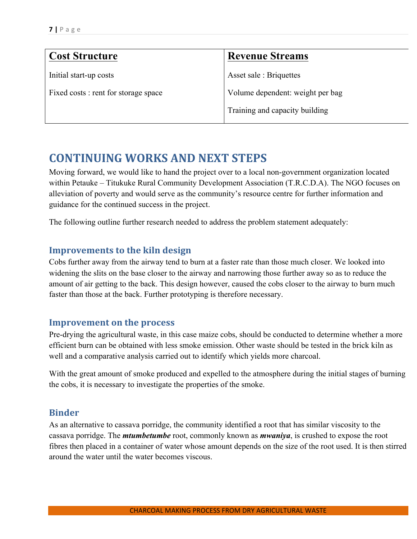| <b>Cost Structure</b>                | <b>Revenue Streams</b>           |
|--------------------------------------|----------------------------------|
| Initial start-up costs               | Asset sale: Briquettes           |
| Fixed costs : rent for storage space | Volume dependent: weight per bag |
|                                      | Training and capacity building   |
|                                      |                                  |

## **CONTINUING WORKS AND NEXT STEPS**

Moving forward, we would like to hand the project over to a local non-government organization located within Petauke – Titukuke Rural Community Development Association (T.R.C.D.A). The NGO focuses on alleviation of poverty and would serve as the community's resource centre for further information and guidance for the continued success in the project.

The following outline further research needed to address the problem statement adequately:

#### **Improvements to the kiln design**

Cobs further away from the airway tend to burn at a faster rate than those much closer. We looked into widening the slits on the base closer to the airway and narrowing those further away so as to reduce the amount of air getting to the back. This design however, caused the cobs closer to the airway to burn much faster than those at the back. Further prototyping is therefore necessary.

#### **Improvement on the process**

Pre-drying the agricultural waste, in this case maize cobs, should be conducted to determine whether a more efficient burn can be obtained with less smoke emission. Other waste should be tested in the brick kiln as well and a comparative analysis carried out to identify which yields more charcoal.

With the great amount of smoke produced and expelled to the atmosphere during the initial stages of burning the cobs, it is necessary to investigate the properties of the smoke.

#### **Binder**

As an alternative to cassava porridge, the community identified a root that has similar viscosity to the cassava porridge. The *mtumbetumbe* root, commonly known as *mwaniya*, is crushed to expose the root fibres then placed in a container of water whose amount depends on the size of the root used. It is then stirred around the water until the water becomes viscous.